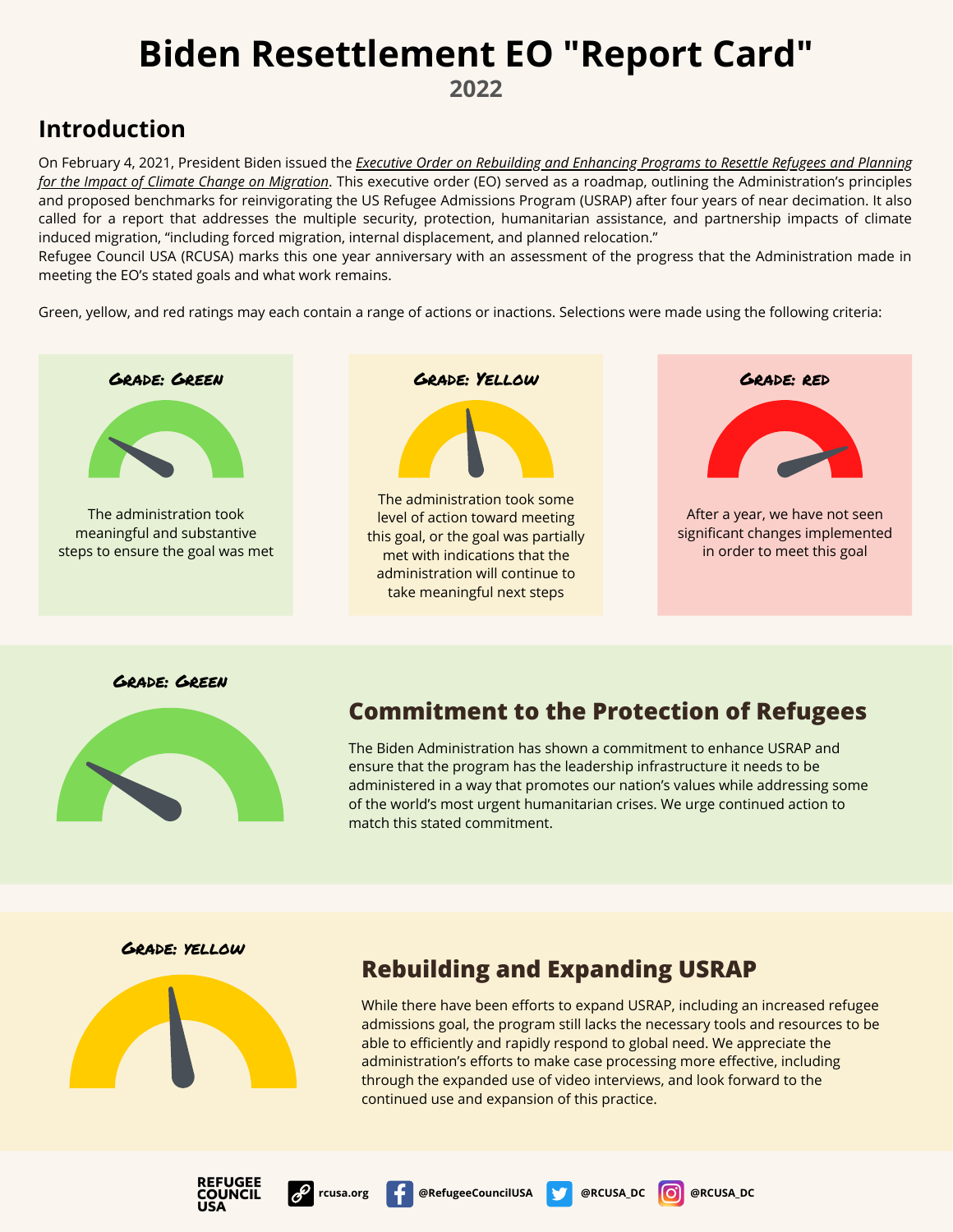**2022**

## **Introduction**

On February 4, 2021, President Biden issued the *Executive Order on Rebuilding and Enhancing Programs to Resettle Refugees and Planning for the Impact of Climate Change on Migration*[. This executive order \(EO\) served as a roadmap, outlining the Administration's principles](https://www.whitehouse.gov/briefing-room/presidential-actions/2021/02/04/executive-order-on-rebuilding-and-enhancing-programs-to-resettle-refugees-and-planning-for-the-impact-of-climate-change-on-migration/) and proposed benchmarks for reinvigorating the US Refugee Admissions Program (USRAP) after four years of near decimation. It also called for a report that addresses the multiple security, protection, humanitarian assistance, and partnership impacts of climate induced migration, "including forced migration, internal displacement, and planned relocation."

Refugee Council USA (RCUSA) marks this one year anniversary with an assessment of the progress that the Administration made in meeting the EO's stated goals and what work remains.

Green, yellow, and red ratings may each contain a range of actions or inactions. Selections were made using the following criteria:



Grade: Green



### **Commitment to the Protection of Refugees**

The Biden Administration has shown a commitment to enhance USRAP and ensure that the program has the leadership infrastructure it needs to be administered in a way that promotes our nation's values while addressing some of the world's most urgent humanitarian crises. We urge continued action to match this stated commitment.

Grade: yellow



### **Rebuilding and Expanding USRAP**

While there have been efforts to expand USRAP, including an increased refugee admissions goal, the program still lacks the necessary tools and resources to be able to efficiently and rapidly respond to global need. We appreciate the administration's efforts to make case processing more effective, including through the expanded use of video interviews, and look forward to the continued use and expansion of this practice.



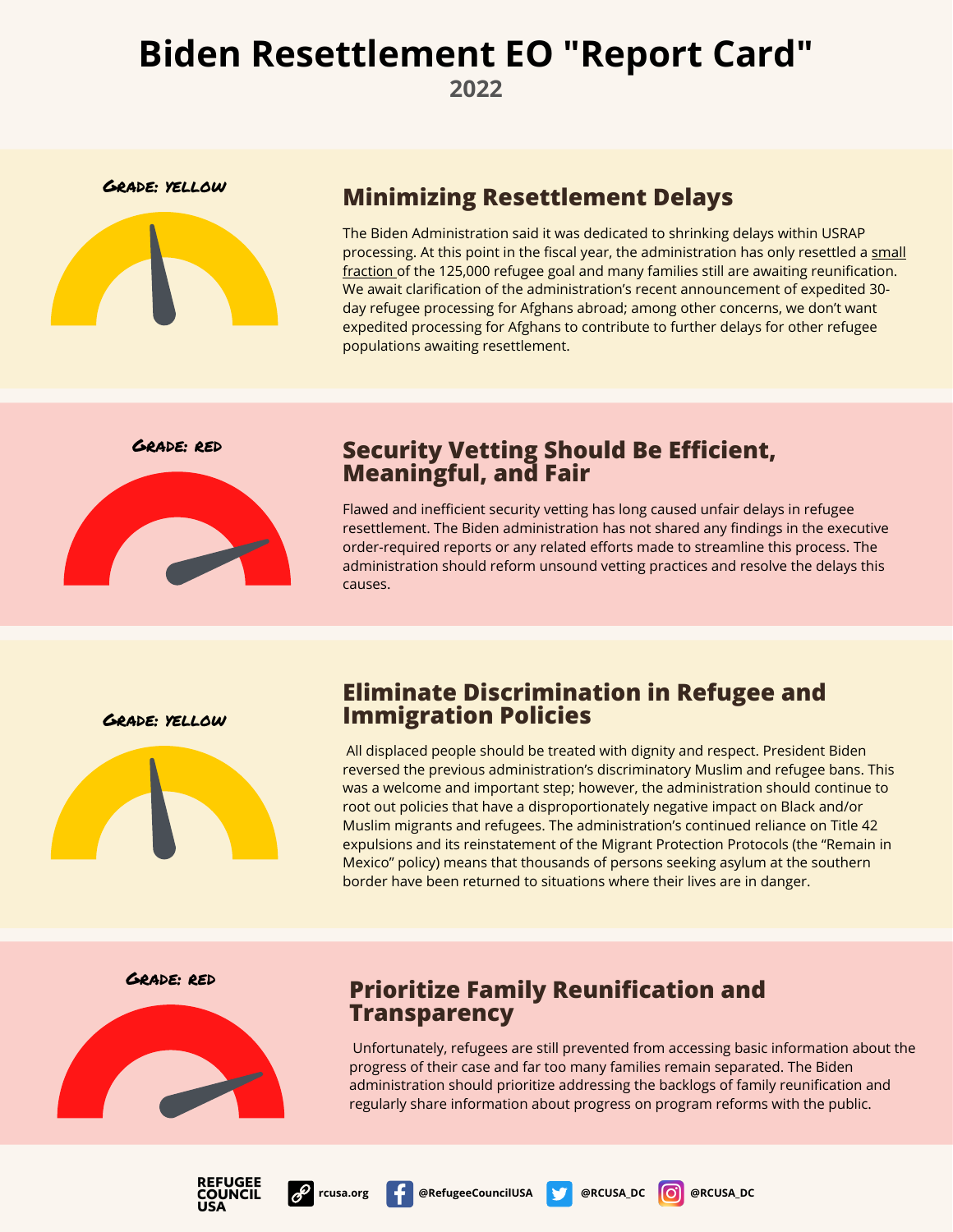**2022**



## Grade: yellow **Minimizing Resettlement Delays**

The Biden Administration said it was dedicated to shrinking delays within USRAP [processing. At this point in the fiscal year, the administration has only resettled a small](https://rcusa.org/wp-content/uploads/2022/02/RCUSA-Quarterly-Arrivals-Q1-FY22.pdf) fraction of the 125,000 refugee goal and many families still are awaiting reunification. We await clarification of the administration's recent announcement of expedited 30 day refugee processing for Afghans abroad; among other concerns, we don't want expedited processing for Afghans to contribute to further delays for other refugee populations awaiting resettlement.



### Grade: red **Security Vetting Should Be Efficient, Meaningful, and Fair**

Flawed and inefficient security vetting has long caused unfair delays in refugee resettlement. The Biden administration has not shared any findings in the executive order-required reports or any related efforts made to streamline this process. The administration should reform unsound vetting practices and resolve the delays this causes.

Grade: yellow



#### **Eliminate Discrimination in Refugee and Immigration Policies**

All displaced people should be treated with dignity and respect. President Biden reversed the previous administration's discriminatory Muslim and refugee bans. This was a welcome and important step; however, the administration should continue to root out policies that have a disproportionately negative impact on Black and/or Muslim migrants and refugees. The administration's continued reliance on Title 42 expulsions and its reinstatement of the Migrant Protection Protocols (the "Remain in Mexico" policy) means that thousands of persons seeking asylum at the southern border have been returned to situations where their lives are in danger.



### Grade: red **Prioritize Family Reunification and Transparency**

Unfortunately, refugees are still prevented from accessing basic information about the progress of their case and far too many families remain separated. The Biden administration should prioritize addressing the backlogs of family reunification and regularly share information about progress on program reforms with the public.





**rcusa.org @RefugeeCouncilUSA @RCUSA\_DC @RCUSA\_DC**

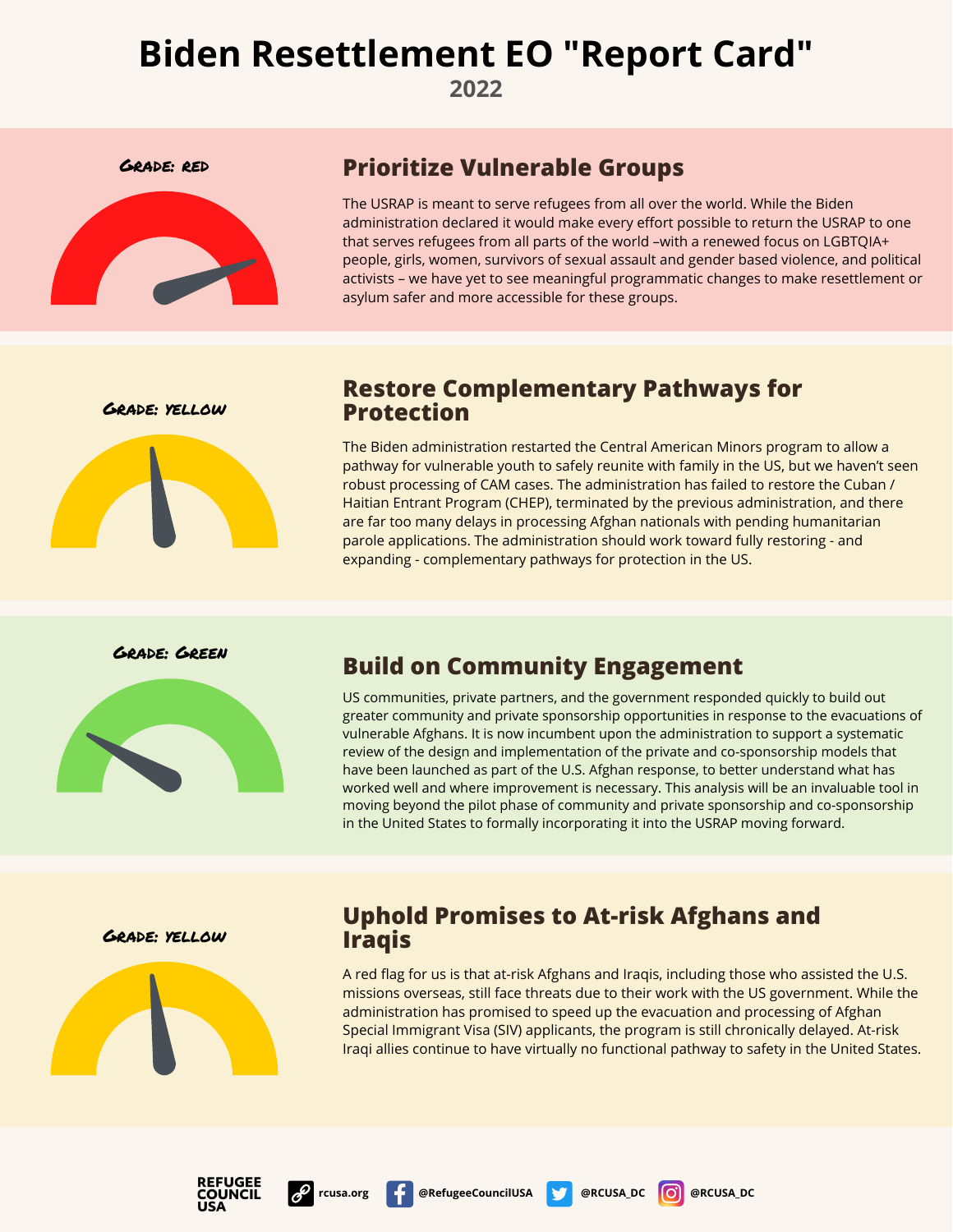**2022**



### Grade: red **Prioritize Vulnerable Groups**

The USRAP is meant to serve refugees from all over the world. While the Biden administration declared it would make every effort possible to return the USRAP to one that serves refugees from all parts of the world –with a renewed focus on LGBTQIA+ people, girls, women, survivors of sexual assault and gender based violence, and political activists – we have yet to see meaningful programmatic changes to make resettlement or asylum safer and more accessible for these groups.

Grade: yellow



### **Restore Complementary Pathways for Protection**

The Biden administration restarted the Central American Minors program to allow a pathway for vulnerable youth to safely reunite with family in the US, but we haven't seen robust processing of CAM cases. The administration has failed to restore the Cuban / Haitian Entrant Program (CHEP), terminated by the previous administration, and there are far too many delays in processing Afghan nationals with pending humanitarian parole applications. The administration should work toward fully restoring - and expanding - complementary pathways for protection in the US.

Grade: Green



## **Build on Community Engagement**

US communities, private partners, and the government responded quickly to build out greater community and private sponsorship opportunities in response to the evacuations of vulnerable Afghans. It is now incumbent upon the administration to support a systematic review of the design and implementation of the private and co-sponsorship models that have been launched as part of the U.S. Afghan response, to better understand what has worked well and where improvement is necessary. This analysis will be an invaluable tool in moving beyond the pilot phase of community and private sponsorship and co-sponsorship in the United States to formally incorporating it into the USRAP moving forward.

Grade: yellow



### **Uphold Promises to At-risk Afghans and Iraqis**

A red flag for us is that at-risk Afghans and Iraqis, including those who assisted the U.S. missions overseas, still face threats due to their work with the US government. While the administration has promised to speed up the evacuation and processing of Afghan Special Immigrant Visa (SIV) applicants, the program is still chronically delayed. At-risk Iraqi allies continue to have virtually no functional pathway to safety in the United States.